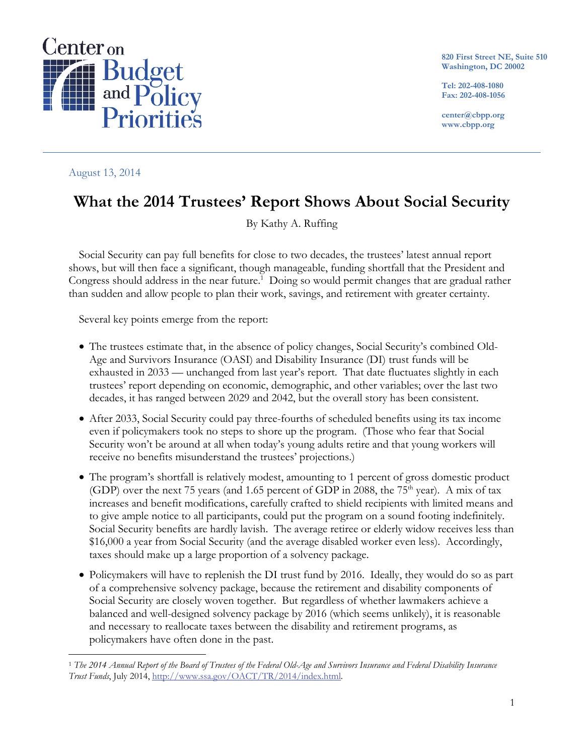

**820 First Street NE, Suite 510 Washington, DC 20002** 

**Tel: 202-408-1080 Fax: 202-408-1056** 

**center@cbpp.org www.cbpp.org** 

August 13, 2014

# **What the 2014 Trustees' Report Shows About Social Security**

By Kathy A. Ruffing

Social Security can pay full benefits for close to two decades, the trustees' latest annual report shows, but will then face a significant, though manageable, funding shortfall that the President and Congress should address in the near future.<sup>1</sup> Doing so would permit changes that are gradual rather than sudden and allow people to plan their work, savings, and retirement with greater certainty.

Several key points emerge from the report:

- The trustees estimate that, in the absence of policy changes, Social Security's combined Old-Age and Survivors Insurance (OASI) and Disability Insurance (DI) trust funds will be exhausted in 2033 — unchanged from last year's report. That date fluctuates slightly in each trustees' report depending on economic, demographic, and other variables; over the last two decades, it has ranged between 2029 and 2042, but the overall story has been consistent.
- After 2033, Social Security could pay three-fourths of scheduled benefits using its tax income even if policymakers took no steps to shore up the program. (Those who fear that Social Security won't be around at all when today's young adults retire and that young workers will receive no benefits misunderstand the trustees' projections.)
- The program's shortfall is relatively modest, amounting to 1 percent of gross domestic product (GDP) over the next 75 years (and 1.65 percent of GDP in 2088, the  $75<sup>th</sup>$  year). A mix of tax increases and benefit modifications, carefully crafted to shield recipients with limited means and to give ample notice to all participants, could put the program on a sound footing indefinitely. Social Security benefits are hardly lavish. The average retiree or elderly widow receives less than \$16,000 a year from Social Security (and the average disabled worker even less). Accordingly, taxes should make up a large proportion of a solvency package.
- Policymakers will have to replenish the DI trust fund by 2016. Ideally, they would do so as part of a comprehensive solvency package, because the retirement and disability components of Social Security are closely woven together. But regardless of whether lawmakers achieve a balanced and well-designed solvency package by 2016 (which seems unlikely), it is reasonable and necessary to reallocate taxes between the disability and retirement programs, as policymakers have often done in the past.

 $\overline{a}$ <sup>1</sup> *The 2014 Annual Report of the Board of Trustees of the Federal Old-Age and Survivors Insurance and Federal Disability Insurance Trust Funds*, July 2014, http://www.ssa.gov/OACT/TR/2014/index.html.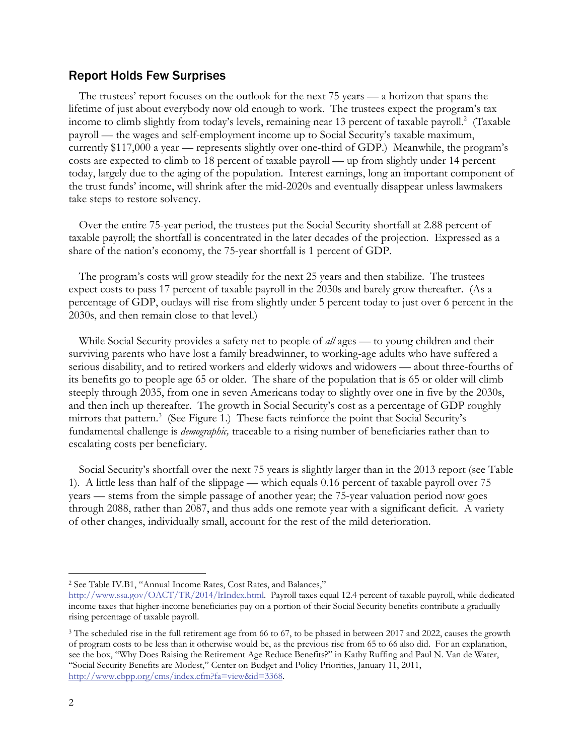## Report Holds Few Surprises

The trustees' report focuses on the outlook for the next 75 years — a horizon that spans the lifetime of just about everybody now old enough to work. The trustees expect the program's tax income to climb slightly from today's levels, remaining near 13 percent of taxable payroll.<sup>2</sup> (Taxable payroll — the wages and self-employment income up to Social Security's taxable maximum, currently \$117,000 a year — represents slightly over one-third of GDP.) Meanwhile, the program's costs are expected to climb to 18 percent of taxable payroll — up from slightly under 14 percent today, largely due to the aging of the population. Interest earnings, long an important component of the trust funds' income, will shrink after the mid-2020s and eventually disappear unless lawmakers take steps to restore solvency.

Over the entire 75-year period, the trustees put the Social Security shortfall at 2.88 percent of taxable payroll; the shortfall is concentrated in the later decades of the projection. Expressed as a share of the nation's economy, the 75-year shortfall is 1 percent of GDP.

The program's costs will grow steadily for the next 25 years and then stabilize. The trustees expect costs to pass 17 percent of taxable payroll in the 2030s and barely grow thereafter. (As a percentage of GDP, outlays will rise from slightly under 5 percent today to just over 6 percent in the 2030s, and then remain close to that level.)

While Social Security provides a safety net to people of *all* ages — to young children and their surviving parents who have lost a family breadwinner, to working-age adults who have suffered a serious disability, and to retired workers and elderly widows and widowers — about three-fourths of its benefits go to people age 65 or older. The share of the population that is 65 or older will climb steeply through 2035, from one in seven Americans today to slightly over one in five by the 2030s, and then inch up thereafter. The growth in Social Security's cost as a percentage of GDP roughly mirrors that pattern.<sup>3</sup> (See Figure 1.) These facts reinforce the point that Social Security's fundamental challenge is *demographic,* traceable to a rising number of beneficiaries rather than to escalating costs per beneficiary.

Social Security's shortfall over the next 75 years is slightly larger than in the 2013 report (see Table 1). A little less than half of the slippage — which equals 0.16 percent of taxable payroll over 75 years — stems from the simple passage of another year; the 75-year valuation period now goes through 2088, rather than 2087, and thus adds one remote year with a significant deficit. A variety of other changes, individually small, account for the rest of the mild deterioration.

-

<sup>2</sup> See Table IV.B1, "Annual Income Rates, Cost Rates, and Balances,"

http://www.ssa.gov/OACT/TR/2014/lrIndex.html. Payroll taxes equal 12.4 percent of taxable payroll, while dedicated income taxes that higher-income beneficiaries pay on a portion of their Social Security benefits contribute a gradually rising percentage of taxable payroll.

<sup>&</sup>lt;sup>3</sup> The scheduled rise in the full retirement age from 66 to 67, to be phased in between 2017 and 2022, causes the growth of program costs to be less than it otherwise would be, as the previous rise from 65 to 66 also did. For an explanation, see the box, "Why Does Raising the Retirement Age Reduce Benefits?" in Kathy Ruffing and Paul N. Van de Water, "Social Security Benefits are Modest," Center on Budget and Policy Priorities, January 11, 2011, http://www.cbpp.org/cms/index.cfm?fa=view&id=3368.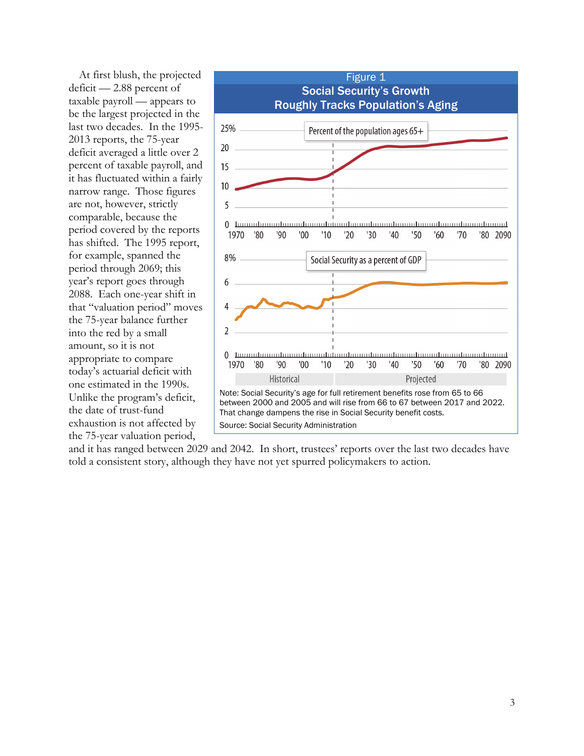At first blush, the projected deficit — 2.88 percent of taxable payroll — appears to be the largest projected in the last two decades. In the 1995- 2013 reports, the 75-year deficit averaged a little over 2 percent of taxable payroll, and it has fluctuated within a fairly narrow range. Those figures are not, however, strictly comparable, because the period covered by the reports has shifted. The 1995 report, for example, spanned the period through 2069; this year's report goes through 2088. Each one-year shift in that "valuation period" moves the 75-year balance further into the red by a small amount, so it is not appropriate to compare today's actuarial deficit with one estimated in the 1990s. Unlike the program's deficit, the date of trust-fund exhaustion is not affected by the 75-year valuation period,



and it has ranged between 2029 and 2042. In short, trustees' reports over the last two decades have told a consistent story, although they have not yet spurred policymakers to action.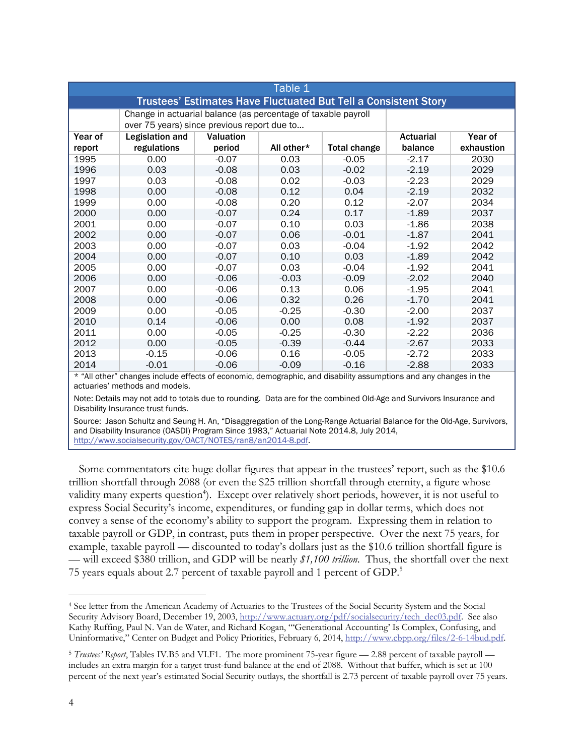| Table 1                                                                |                                                                                                              |           |            |                     |                  |            |
|------------------------------------------------------------------------|--------------------------------------------------------------------------------------------------------------|-----------|------------|---------------------|------------------|------------|
| <b>Trustees' Estimates Have Fluctuated But Tell a Consistent Story</b> |                                                                                                              |           |            |                     |                  |            |
|                                                                        | Change in actuarial balance (as percentage of taxable payroll<br>over 75 years) since previous report due to |           |            |                     |                  |            |
| Year of                                                                | Legislation and                                                                                              | Valuation |            |                     | <b>Actuarial</b> | Year of    |
| report                                                                 | regulations                                                                                                  | period    | All other* | <b>Total change</b> | balance          | exhaustion |
| 1995                                                                   | 0.00                                                                                                         | $-0.07$   | 0.03       | $-0.05$             | $-2.17$          | 2030       |
| 1996                                                                   | 0.03                                                                                                         | $-0.08$   | 0.03       | $-0.02$             | $-2.19$          | 2029       |
| 1997                                                                   | 0.03                                                                                                         | $-0.08$   | 0.02       | $-0.03$             | $-2.23$          | 2029       |
| 1998                                                                   | 0.00                                                                                                         | $-0.08$   | 0.12       | 0.04                | $-2.19$          | 2032       |
| 1999                                                                   | 0.00                                                                                                         | $-0.08$   | 0.20       | 0.12                | $-2.07$          | 2034       |
| 2000                                                                   | 0.00                                                                                                         | $-0.07$   | 0.24       | 0.17                | $-1.89$          | 2037       |
| 2001                                                                   | 0.00                                                                                                         | $-0.07$   | 0.10       | 0.03                | $-1.86$          | 2038       |
| 2002                                                                   | 0.00                                                                                                         | $-0.07$   | 0.06       | $-0.01$             | $-1.87$          | 2041       |
| 2003                                                                   | 0.00                                                                                                         | $-0.07$   | 0.03       | $-0.04$             | $-1.92$          | 2042       |
| 2004                                                                   | 0.00                                                                                                         | $-0.07$   | 0.10       | 0.03                | $-1.89$          | 2042       |
| 2005                                                                   | 0.00                                                                                                         | $-0.07$   | 0.03       | $-0.04$             | $-1.92$          | 2041       |
| 2006                                                                   | 0.00                                                                                                         | $-0.06$   | $-0.03$    | $-0.09$             | $-2.02$          | 2040       |
| 2007                                                                   | 0.00                                                                                                         | $-0.06$   | 0.13       | 0.06                | $-1.95$          | 2041       |
| 2008                                                                   | 0.00                                                                                                         | $-0.06$   | 0.32       | 0.26                | $-1.70$          | 2041       |
| 2009                                                                   | 0.00                                                                                                         | $-0.05$   | $-0.25$    | $-0.30$             | $-2.00$          | 2037       |
| 2010                                                                   | 0.14                                                                                                         | $-0.06$   | 0.00       | 0.08                | $-1.92$          | 2037       |
| 2011                                                                   | 0.00                                                                                                         | $-0.05$   | $-0.25$    | $-0.30$             | $-2.22$          | 2036       |
| 2012                                                                   | 0.00                                                                                                         | $-0.05$   | $-0.39$    | $-0.44$             | $-2.67$          | 2033       |
| 2013                                                                   | $-0.15$                                                                                                      | $-0.06$   | 0.16       | $-0.05$             | $-2.72$          | 2033       |
| 2014                                                                   | $-0.01$                                                                                                      | $-0.06$   | $-0.09$    | $-0.16$             | $-2.88$          | 2033       |

\* "All other" changes include effects of economic, demographic, and disability assumptions and any changes in the actuaries' methods and models.

Note: Details may not add to totals due to rounding. Data are for the combined Old-Age and Survivors Insurance and Disability Insurance trust funds.

Source: Jason Schultz and Seung H. An, "Disaggregation of the Long-Range Actuarial Balance for the Old-Age, Survivors, and Disability Insurance (OASDI) Program Since 1983," Actuarial Note 2014.8, July 2014, http://www.socialsecurity.gov/OACT/NOTES/ran8/an2014-8.pdf.

Some commentators cite huge dollar figures that appear in the trustees' report, such as the \$10.6 trillion shortfall through 2088 (or even the \$25 trillion shortfall through eternity, a figure whose validity many experts question<sup>4</sup>). Except over relatively short periods, however, it is not useful to express Social Security's income, expenditures, or funding gap in dollar terms, which does not convey a sense of the economy's ability to support the program. Expressing them in relation to taxable payroll or GDP, in contrast, puts them in proper perspective. Over the next 75 years, for example, taxable payroll — discounted to today's dollars just as the \$10.6 trillion shortfall figure is — will exceed \$380 trillion, and GDP will be nearly *\$1,100 trillion*. Thus, the shortfall over the next 75 years equals about 2.7 percent of taxable payroll and 1 percent of GDP.5

 $\overline{a}$ 4 See letter from the American Academy of Actuaries to the Trustees of the Social Security System and the Social Security Advisory Board, December 19, 2003, http://www.actuary.org/pdf/socialsecurity/tech\_dec03.pdf. See also Kathy Ruffing, Paul N. Van de Water, and Richard Kogan, "'Generational Accounting' Is Complex, Confusing, and Uninformative," Center on Budget and Policy Priorities, February 6, 2014, http://www.cbpp.org/files/2-6-14bud.pdf.

<sup>5</sup> *Trustees' Report*, Tables IV.B5 and VI.F1. The more prominent 75-year figure — 2.88 percent of taxable payroll includes an extra margin for a target trust-fund balance at the end of 2088. Without that buffer, which is set at 100 percent of the next year's estimated Social Security outlays, the shortfall is 2.73 percent of taxable payroll over 75 years.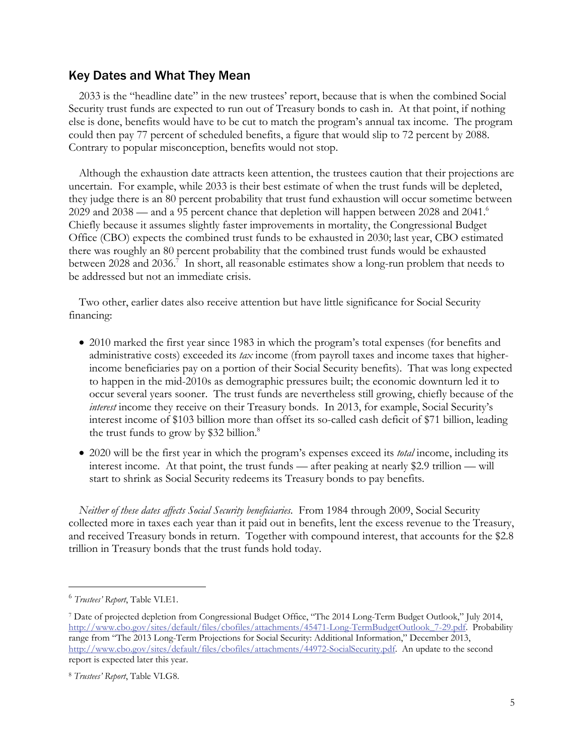## Key Dates and What They Mean

2033 is the "headline date" in the new trustees' report, because that is when the combined Social Security trust funds are expected to run out of Treasury bonds to cash in. At that point, if nothing else is done, benefits would have to be cut to match the program's annual tax income. The program could then pay 77 percent of scheduled benefits, a figure that would slip to 72 percent by 2088. Contrary to popular misconception, benefits would not stop.

Although the exhaustion date attracts keen attention, the trustees caution that their projections are uncertain. For example, while 2033 is their best estimate of when the trust funds will be depleted, they judge there is an 80 percent probability that trust fund exhaustion will occur sometime between 2029 and 2038 — and a 95 percent chance that depletion will happen between 2028 and 2041.<sup>6</sup> Chiefly because it assumes slightly faster improvements in mortality, the Congressional Budget Office (CBO) expects the combined trust funds to be exhausted in 2030; last year, CBO estimated there was roughly an 80 percent probability that the combined trust funds would be exhausted between 2028 and 2036.<sup>7</sup> In short, all reasonable estimates show a long-run problem that needs to be addressed but not an immediate crisis.

Two other, earlier dates also receive attention but have little significance for Social Security financing:

- 2010 marked the first year since 1983 in which the program's total expenses (for benefits and administrative costs) exceeded its *tax* income (from payroll taxes and income taxes that higherincome beneficiaries pay on a portion of their Social Security benefits). That was long expected to happen in the mid-2010s as demographic pressures built; the economic downturn led it to occur several years sooner. The trust funds are nevertheless still growing, chiefly because of the *interest* income they receive on their Treasury bonds. In 2013, for example, Social Security's interest income of \$103 billion more than offset its so-called cash deficit of \$71 billion, leading the trust funds to grow by \$32 billion.<sup>8</sup>
- 2020 will be the first year in which the program's expenses exceed its *total* income, including its interest income. At that point, the trust funds — after peaking at nearly \$2.9 trillion — will start to shrink as Social Security redeems its Treasury bonds to pay benefits.

*Neither of these dates affects Social Security beneficiaries*. From 1984 through 2009, Social Security collected more in taxes each year than it paid out in benefits, lent the excess revenue to the Treasury, and received Treasury bonds in return. Together with compound interest, that accounts for the \$2.8 trillion in Treasury bonds that the trust funds hold today.

 $\overline{a}$ 

<sup>6</sup> *Trustees' Report*, Table VI.E1.

<sup>7</sup> Date of projected depletion from Congressional Budget Office, "The 2014 Long-Term Budget Outlook," July 2014, http://www.cbo.gov/sites/default/files/cbofiles/attachments/45471-Long-TermBudgetOutlook\_7-29.pdf. Probability range from "The 2013 Long-Term Projections for Social Security: Additional Information," December 2013, http://www.cbo.gov/sites/default/files/cbofiles/attachments/44972-SocialSecurity.pdf. An update to the second report is expected later this year.

<sup>8</sup> *Trustees' Report*, Table VI.G8.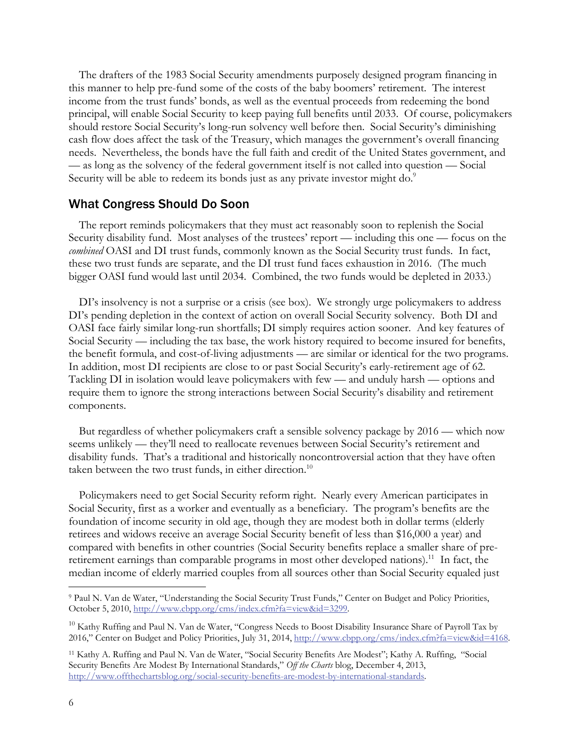The drafters of the 1983 Social Security amendments purposely designed program financing in this manner to help pre-fund some of the costs of the baby boomers' retirement. The interest income from the trust funds' bonds, as well as the eventual proceeds from redeeming the bond principal, will enable Social Security to keep paying full benefits until 2033. Of course, policymakers should restore Social Security's long-run solvency well before then. Social Security's diminishing cash flow does affect the task of the Treasury, which manages the government's overall financing needs. Nevertheless, the bonds have the full faith and credit of the United States government, and — as long as the solvency of the federal government itself is not called into question — Social Security will be able to redeem its bonds just as any private investor might do.<sup>9</sup>

### What Congress Should Do Soon

The report reminds policymakers that they must act reasonably soon to replenish the Social Security disability fund. Most analyses of the trustees' report — including this one — focus on the *combined* OASI and DI trust funds, commonly known as the Social Security trust funds. In fact, these two trust funds are separate, and the DI trust fund faces exhaustion in 2016. (The much bigger OASI fund would last until 2034. Combined, the two funds would be depleted in 2033.)

DI's insolvency is not a surprise or a crisis (see box). We strongly urge policymakers to address DI's pending depletion in the context of action on overall Social Security solvency. Both DI and OASI face fairly similar long-run shortfalls; DI simply requires action sooner. And key features of Social Security — including the tax base, the work history required to become insured for benefits, the benefit formula, and cost-of-living adjustments — are similar or identical for the two programs. In addition, most DI recipients are close to or past Social Security's early-retirement age of 62. Tackling DI in isolation would leave policymakers with few — and unduly harsh — options and require them to ignore the strong interactions between Social Security's disability and retirement components.

But regardless of whether policymakers craft a sensible solvency package by 2016 — which now seems unlikely — they'll need to reallocate revenues between Social Security's retirement and disability funds. That's a traditional and historically noncontroversial action that they have often taken between the two trust funds, in either direction.<sup>10</sup>

Policymakers need to get Social Security reform right. Nearly every American participates in Social Security, first as a worker and eventually as a beneficiary. The program's benefits are the foundation of income security in old age, though they are modest both in dollar terms (elderly retirees and widows receive an average Social Security benefit of less than \$16,000 a year) and compared with benefits in other countries (Social Security benefits replace a smaller share of preretirement earnings than comparable programs in most other developed nations).<sup>11</sup> In fact, the median income of elderly married couples from all sources other than Social Security equaled just

 $\overline{a}$ 

<sup>9</sup> Paul N. Van de Water, "Understanding the Social Security Trust Funds," Center on Budget and Policy Priorities, October 5, 2010, http://www.cbpp.org/cms/index.cfm?fa=view&id=3299.

<sup>&</sup>lt;sup>10</sup> Kathy Ruffing and Paul N. Van de Water, "Congress Needs to Boost Disability Insurance Share of Payroll Tax by 2016," Center on Budget and Policy Priorities, July 31, 2014, http://www.cbpp.org/cms/index.cfm?fa=view&id=4168.

<sup>11</sup> Kathy A. Ruffing and Paul N. Van de Water, "Social Security Benefits Are Modest"; Kathy A. Ruffing, "Social Security Benefits Are Modest By International Standards," *Off the Charts* blog, December 4, 2013, http://www.offthechartsblog.org/social-security-benefits-are-modest-by-international-standards.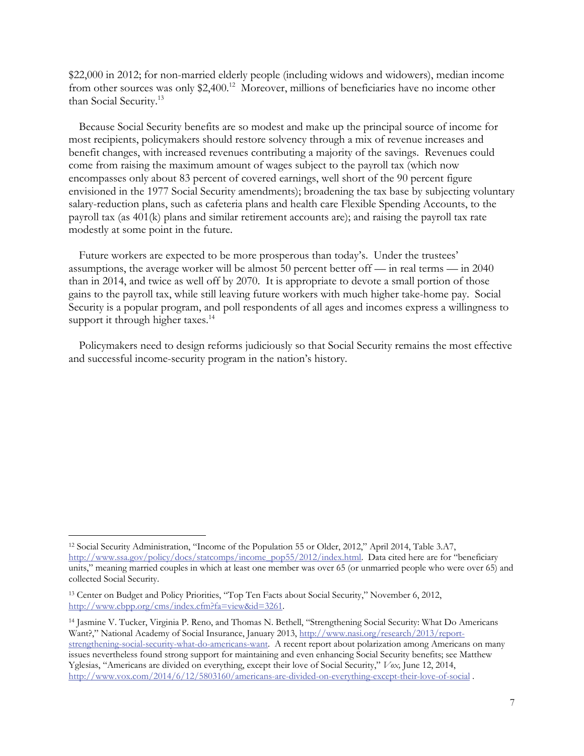\$22,000 in 2012; for non-married elderly people (including widows and widowers), median income from other sources was only \$2,400.<sup>12</sup> Moreover, millions of beneficiaries have no income other than Social Security.<sup>13</sup>

Because Social Security benefits are so modest and make up the principal source of income for most recipients, policymakers should restore solvency through a mix of revenue increases and benefit changes, with increased revenues contributing a majority of the savings. Revenues could come from raising the maximum amount of wages subject to the payroll tax (which now encompasses only about 83 percent of covered earnings, well short of the 90 percent figure envisioned in the 1977 Social Security amendments); broadening the tax base by subjecting voluntary salary-reduction plans, such as cafeteria plans and health care Flexible Spending Accounts, to the payroll tax (as 401(k) plans and similar retirement accounts are); and raising the payroll tax rate modestly at some point in the future.

Future workers are expected to be more prosperous than today's. Under the trustees' assumptions, the average worker will be almost 50 percent better off — in real terms — in 2040 than in 2014, and twice as well off by 2070. It is appropriate to devote a small portion of those gains to the payroll tax, while still leaving future workers with much higher take-home pay. Social Security is a popular program, and poll respondents of all ages and incomes express a willingness to support it through higher taxes.<sup>14</sup>

Policymakers need to design reforms judiciously so that Social Security remains the most effective and successful income-security program in the nation's history.

 $\overline{a}$ 

<sup>12</sup> Social Security Administration, "Income of the Population 55 or Older, 2012," April 2014, Table 3.A7, http://www.ssa.gov/policy/docs/statcomps/income\_pop55/2012/index.html. Data cited here are for "beneficiary units," meaning married couples in which at least one member was over 65 (or unmarried people who were over 65) and collected Social Security.

<sup>13</sup> Center on Budget and Policy Priorities, "Top Ten Facts about Social Security," November 6, 2012, http://www.cbpp.org/cms/index.cfm?fa=view&id=3261.

<sup>14</sup> Jasmine V. Tucker, Virginia P. Reno, and Thomas N. Bethell, "Strengthening Social Security: What Do Americans Want?," National Academy of Social Insurance, January 2013, http://www.nasi.org/research/2013/reportstrengthening-social-security-what-do-americans-want. A recent report about polarization among Americans on many issues nevertheless found strong support for maintaining and even enhancing Social Security benefits; see Matthew Yglesias, "Americans are divided on everything, except their love of Social Security," *Vox,* June 12, 2014, http://www.vox.com/2014/6/12/5803160/americans-are-divided-on-everything-except-their-love-of-social .